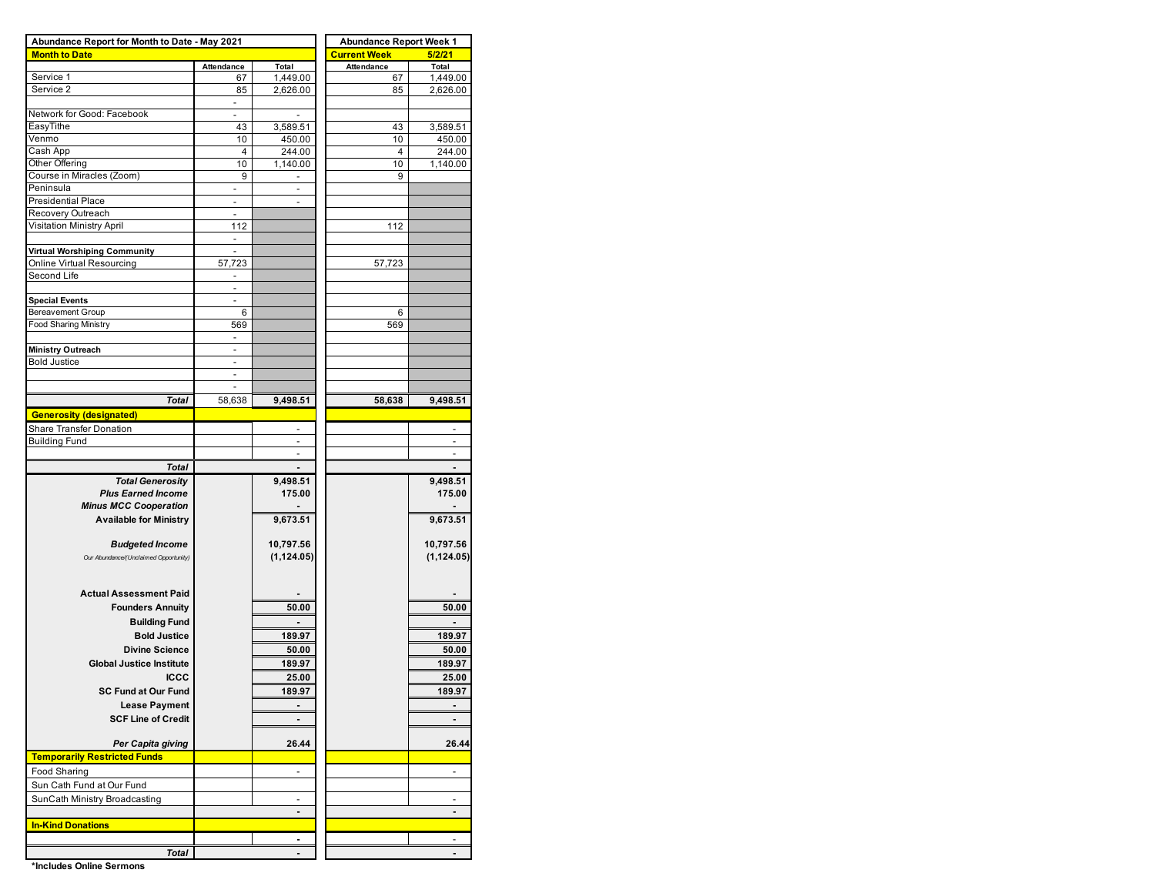| Abundance Report for Month to Date - May 2021 |                          |                          | <b>Abundance Report Week 1</b> |                    |  |  |  |  |  |
|-----------------------------------------------|--------------------------|--------------------------|--------------------------------|--------------------|--|--|--|--|--|
| <b>Month to Date</b>                          |                          |                          | <b>Current Week</b>            | 5/2/21             |  |  |  |  |  |
|                                               | Attendance               | Total                    | Attendance                     | Total              |  |  |  |  |  |
| Service 1                                     | 67                       | 1,449.00                 | 67                             | 1,449.00           |  |  |  |  |  |
| Service 2                                     | 85                       | 2,626.00                 | 85                             | 2,626.00           |  |  |  |  |  |
|                                               | ÷,                       |                          |                                |                    |  |  |  |  |  |
| Network for Good: Facebook<br>EasyTithe       | $\overline{\phantom{a}}$ | $\overline{\phantom{a}}$ |                                |                    |  |  |  |  |  |
| Venmo                                         | 43<br>10                 | 3,589.51<br>450.00       | 43<br>10                       | 3,589.51<br>450.00 |  |  |  |  |  |
| Cash App                                      | $\overline{4}$           | 244.00                   | 4                              | 244.00             |  |  |  |  |  |
| Other Offering                                | 10                       | 1,140.00                 | 10                             | 1,140.00           |  |  |  |  |  |
| Course in Miracles (Zoom)                     | 9                        | ٠                        | 9                              |                    |  |  |  |  |  |
| Peninsula                                     | $\overline{\phantom{a}}$ | ٠                        |                                |                    |  |  |  |  |  |
| Presidential Place                            | $\overline{a}$           | ٠                        |                                |                    |  |  |  |  |  |
| Recovery Outreach                             | $\overline{a}$           |                          |                                |                    |  |  |  |  |  |
| <b>Visitation Ministry April</b>              | 112                      |                          | 112                            |                    |  |  |  |  |  |
|                                               | $\blacksquare$           |                          |                                |                    |  |  |  |  |  |
| Virtual Worshiping Community                  | $\blacksquare$           |                          |                                |                    |  |  |  |  |  |
| Online Virtual Resourcing                     | 57,723                   |                          | 57,723                         |                    |  |  |  |  |  |
| Second Life                                   |                          |                          |                                |                    |  |  |  |  |  |
|                                               | ٠                        |                          |                                |                    |  |  |  |  |  |
| <b>Special Events</b>                         | ÷,                       |                          |                                |                    |  |  |  |  |  |
| <b>Bereavement Group</b>                      | 6                        |                          | 6                              |                    |  |  |  |  |  |
| <b>Food Sharing Ministry</b>                  | 569                      |                          | 569                            |                    |  |  |  |  |  |
|                                               | $\overline{\phantom{a}}$ |                          |                                |                    |  |  |  |  |  |
| <b>Ministry Outreach</b>                      |                          |                          |                                |                    |  |  |  |  |  |
| <b>Bold Justice</b>                           | $\overline{a}$           |                          |                                |                    |  |  |  |  |  |
|                                               | $\overline{\phantom{a}}$ |                          |                                |                    |  |  |  |  |  |
|                                               | ÷,                       |                          |                                |                    |  |  |  |  |  |
| Total                                         | 58,638                   | 9,498.51                 | 58,638                         | 9,498.51           |  |  |  |  |  |
| <b>Generosity (designated)</b>                |                          |                          |                                |                    |  |  |  |  |  |
| Share Transfer Donation                       |                          | $\overline{\phantom{0}}$ |                                |                    |  |  |  |  |  |
| <b>Building Fund</b>                          |                          | ٠                        |                                | ÷                  |  |  |  |  |  |
|                                               |                          |                          |                                |                    |  |  |  |  |  |
| <b>Total</b>                                  |                          |                          |                                |                    |  |  |  |  |  |
| <b>Total Generosity</b>                       |                          | 9,498.51                 |                                | 9,498.51           |  |  |  |  |  |
| <b>Plus Earned Income</b>                     |                          | 175.00                   |                                | 175.00             |  |  |  |  |  |
| <b>Minus MCC Cooperation</b>                  |                          |                          |                                |                    |  |  |  |  |  |
| <b>Available for Ministry</b>                 |                          | 9,673.51                 |                                | 9,673.51           |  |  |  |  |  |
|                                               |                          |                          |                                |                    |  |  |  |  |  |
| <b>Budgeted Income</b>                        |                          | 10,797.56                |                                | 10,797.56          |  |  |  |  |  |
| Our Abundance/(Unclaimed Opportunity)         |                          | (1, 124.05)              |                                | (1, 124.05)        |  |  |  |  |  |
|                                               |                          |                          |                                |                    |  |  |  |  |  |
|                                               |                          |                          |                                |                    |  |  |  |  |  |
| <b>Actual Assessment Paid</b>                 |                          |                          |                                |                    |  |  |  |  |  |
| <b>Founders Annuity</b>                       |                          | 50.00                    |                                | 50.00              |  |  |  |  |  |
| <b>Building Fund</b>                          |                          |                          |                                |                    |  |  |  |  |  |
| <b>Bold Justice</b>                           |                          | 189.97                   |                                | 189.97             |  |  |  |  |  |
| <b>Divine Science</b>                         |                          | 50.00                    |                                | 50.00              |  |  |  |  |  |
| <b>Global Justice Institute</b>               |                          | 189.97                   |                                | 189.97             |  |  |  |  |  |
| <b>ICCC</b>                                   |                          | 25.00                    |                                | 25.00              |  |  |  |  |  |
| <b>SC Fund at Our Fund</b>                    |                          | 189.97                   |                                | 189.97             |  |  |  |  |  |
| <b>Lease Payment</b>                          |                          |                          |                                |                    |  |  |  |  |  |
| <b>SCF Line of Credit</b>                     |                          |                          |                                | ٠                  |  |  |  |  |  |
|                                               |                          |                          |                                |                    |  |  |  |  |  |
| Per Capita giving                             |                          | 26.44                    |                                | 26.44              |  |  |  |  |  |
| <b>Temporarily Restricted Funds</b>           |                          |                          |                                |                    |  |  |  |  |  |
| Food Sharing                                  |                          | $\overline{\phantom{a}}$ |                                | $\overline{a}$     |  |  |  |  |  |
|                                               |                          |                          |                                |                    |  |  |  |  |  |
| Sun Cath Fund at Our Fund                     |                          |                          |                                |                    |  |  |  |  |  |
| SunCath Ministry Broadcasting                 |                          |                          |                                |                    |  |  |  |  |  |
|                                               |                          | $\blacksquare$           |                                | ٠                  |  |  |  |  |  |
| <b>In-Kind Donations</b>                      |                          |                          |                                |                    |  |  |  |  |  |
|                                               |                          | ۰                        |                                |                    |  |  |  |  |  |
| Total                                         |                          |                          |                                |                    |  |  |  |  |  |

**\*Includes Online Sermons**